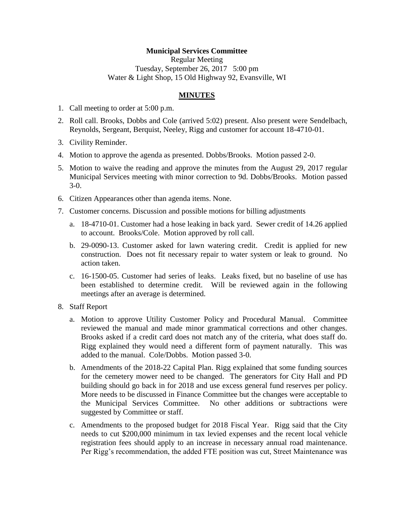## **Municipal Services Committee**

Regular Meeting Tuesday, September 26, 2017 5:00 pm Water & Light Shop, 15 Old Highway 92, Evansville, WI

## **MINUTES**

- 1. Call meeting to order at 5:00 p.m.
- 2. Roll call. Brooks, Dobbs and Cole (arrived 5:02) present. Also present were Sendelbach, Reynolds, Sergeant, Berquist, Neeley, Rigg and customer for account 18-4710-01.
- 3. Civility Reminder.
- 4. Motion to approve the agenda as presented. Dobbs/Brooks. Motion passed 2-0.
- 5. Motion to waive the reading and approve the minutes from the August 29, 2017 regular Municipal Services meeting with minor correction to 9d. Dobbs/Brooks. Motion passed 3-0.
- 6. Citizen Appearances other than agenda items. None.
- 7. Customer concerns. Discussion and possible motions for billing adjustments
	- a. 18-4710-01. Customer had a hose leaking in back yard. Sewer credit of 14.26 applied to account. Brooks/Cole. Motion approved by roll call.
	- b. 29-0090-13. Customer asked for lawn watering credit. Credit is applied for new construction. Does not fit necessary repair to water system or leak to ground. No action taken.
	- c. 16-1500-05. Customer had series of leaks. Leaks fixed, but no baseline of use has been established to determine credit. Will be reviewed again in the following meetings after an average is determined.
- 8. Staff Report
	- a. Motion to approve Utility Customer Policy and Procedural Manual. Committee reviewed the manual and made minor grammatical corrections and other changes. Brooks asked if a credit card does not match any of the criteria, what does staff do. Rigg explained they would need a different form of payment naturally. This was added to the manual. Cole/Dobbs. Motion passed 3-0.
	- b. Amendments of the 2018-22 Capital Plan. Rigg explained that some funding sources for the cemetery mower need to be changed. The generators for City Hall and PD building should go back in for 2018 and use excess general fund reserves per policy. More needs to be discussed in Finance Committee but the changes were acceptable to the Municipal Services Committee. No other additions or subtractions were suggested by Committee or staff.
	- c. Amendments to the proposed budget for 2018 Fiscal Year. Rigg said that the City needs to cut \$200,000 minimum in tax levied expenses and the recent local vehicle registration fees should apply to an increase in necessary annual road maintenance. Per Rigg's recommendation, the added FTE position was cut, Street Maintenance was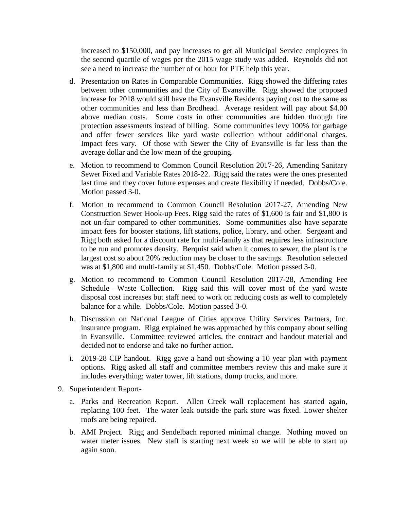increased to \$150,000, and pay increases to get all Municipal Service employees in the second quartile of wages per the 2015 wage study was added. Reynolds did not see a need to increase the number of or hour for PTE help this year.

- d. Presentation on Rates in Comparable Communities. Rigg showed the differing rates between other communities and the City of Evansville. Rigg showed the proposed increase for 2018 would still have the Evansville Residents paying cost to the same as other communities and less than Brodhead. Average resident will pay about \$4.00 above median costs. Some costs in other communities are hidden through fire protection assessments instead of billing. Some communities levy 100% for garbage and offer fewer services like yard waste collection without additional charges. Impact fees vary. Of those with Sewer the City of Evansville is far less than the average dollar and the low mean of the grouping.
- e. Motion to recommend to Common Council Resolution 2017-26, Amending Sanitary Sewer Fixed and Variable Rates 2018-22. Rigg said the rates were the ones presented last time and they cover future expenses and create flexibility if needed. Dobbs/Cole. Motion passed 3-0.
- f. Motion to recommend to Common Council Resolution 2017-27, Amending New Construction Sewer Hook-up Fees. Rigg said the rates of \$1,600 is fair and \$1,800 is not un-fair compared to other communities. Some communities also have separate impact fees for booster stations, lift stations, police, library, and other. Sergeant and Rigg both asked for a discount rate for multi-family as that requires less infrastructure to be run and promotes density. Berquist said when it comes to sewer, the plant is the largest cost so about 20% reduction may be closer to the savings. Resolution selected was at \$1,800 and multi-family at \$1,450. Dobbs/Cole. Motion passed 3-0.
- g. Motion to recommend to Common Council Resolution 2017-28, Amending Fee Schedule –Waste Collection. Rigg said this will cover most of the yard waste disposal cost increases but staff need to work on reducing costs as well to completely balance for a while. Dobbs/Cole. Motion passed 3-0.
- h. Discussion on National League of Cities approve Utility Services Partners, Inc. insurance program. Rigg explained he was approached by this company about selling in Evansville. Committee reviewed articles, the contract and handout material and decided not to endorse and take no further action.
- i. 2019-28 CIP handout. Rigg gave a hand out showing a 10 year plan with payment options. Rigg asked all staff and committee members review this and make sure it includes everything; water tower, lift stations, dump trucks, and more.
- 9. Superintendent Report
	- a. Parks and Recreation Report. Allen Creek wall replacement has started again, replacing 100 feet. The water leak outside the park store was fixed. Lower shelter roofs are being repaired.
	- b. AMI Project. Rigg and Sendelbach reported minimal change. Nothing moved on water meter issues. New staff is starting next week so we will be able to start up again soon.